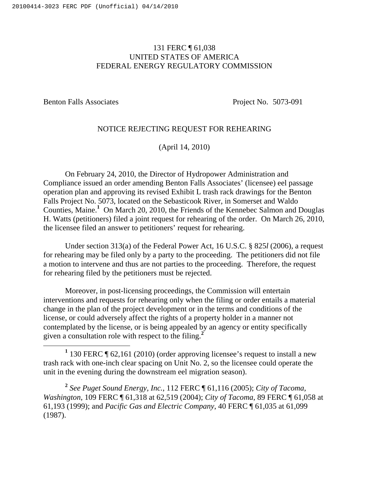## 131 FERC ¶ 61,038 UNITED STATES OF AMERICA FEDERAL ENERGY REGULATORY COMMISSION

Benton Falls Associates Project No. 5073-091

## NOTICE REJECTING REQUEST FOR REHEARING

(April 14, 2010)

On February 24, 2010, the Director of Hydropower Administration and Compliance issued an order amending Benton Falls Associates' (licensee) eel passage operation plan and approving its revised Exhibit L trash rack drawings for the Benton Falls Project No. 5073, located on the Sebasticook River, in Somerset and Waldo Counties, Maine. **<sup>1</sup>** On March 20, 2010, the Friends of the Kennebec Salmon and Douglas H. Watts (petitioners) filed a joint request for rehearing of the order. On March 26, 2010, the licensee filed an answer to petitioners' request for rehearing.

Under section 313(a) of the Federal Power Act, 16 U.S.C. § 825*l* (2006), a request for rehearing may be filed only by a party to the proceeding. The petitioners did not file a motion to intervene and thus are not parties to the proceeding. Therefore, the request for rehearing filed by the petitioners must be rejected.

Moreover, in post-licensing proceedings, the Commission will entertain interventions and requests for rehearing only when the filing or order entails a material change in the plan of the project development or in the terms and conditions of the license, or could adversely affect the rights of a property holder in a manner not contemplated by the license, or is being appealed by an agency or entity specifically given a consultation role with respect to the filing. **2**

**<sup>1</sup>** 130 FERC ¶ 62,161 (2010) (order approving licensee's request to install a new trash rack with one-inch clear spacing on Unit No. 2, so the licensee could operate the unit in the evening during the downstream eel migration season).

**<sup>2</sup>** *See Puget Sound Energy, Inc.*, 112 FERC ¶ 61,116 (2005); *City of Tacoma, Washington*, 109 FERC ¶ 61,318 at 62,519 (2004); *City of Tacoma*, 89 FERC ¶ 61,058 at 61,193 (1999); and *Pacific Gas and Electric Company*, 40 FERC ¶ 61,035 at 61,099 (1987).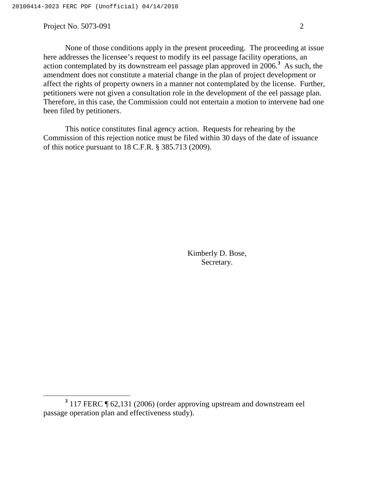Project No. 5073-091 2

None of those conditions apply in the present proceeding. The proceeding at issue here addresses the licensee's request to modify its eel passage facility operations, an action contemplated by its downstream eel passage plan approved in 2006. **<sup>3</sup>** As such, the amendment does not constitute a material change in the plan of project development or affect the rights of property owners in a manner not contemplated by the license. Further, petitioners were not given a consultation role in the development of the eel passage plan. Therefore, in this case, the Commission could not entertain a motion to intervene had one been filed by petitioners.

This notice constitutes final agency action. Requests for rehearing by the Commission of this rejection notice must be filed within 30 days of the date of issuance of this notice pursuant to 18 C.F.R. § 385.713 (2009).

> Kimberly D. Bose, Secretary.

**<sup>3</sup>** 117 FERC ¶ 62,131 (2006) (order approving upstream and downstream eel passage operation plan and effectiveness study).